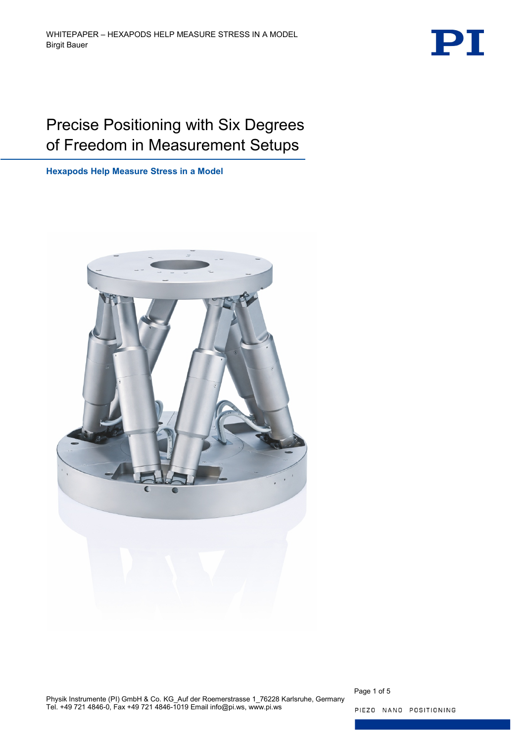

# Precise Positioning with Six Degrees of Freedom in Measurement Setups

**Hexapods Help Measure Stress in a Model**



Physik Instrumente (PI) GmbH & Co. KG\_Auf der Roemerstrasse 1\_76228 Karlsruhe, Germany Tel. +49 721 4846-0, Fax +49 721 4846-1019 Email info@pi.ws, www.pi.ws

Page 1 of 5

PIEZO NANO POSITIONING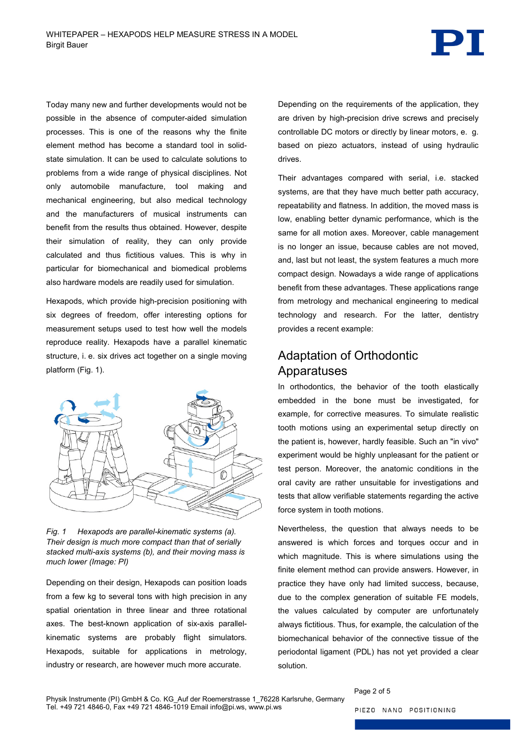

Today many new and further developments would not be possible in the absence of computer-aided simulation processes. This is one of the reasons why the finite element method has become a standard tool in solidstate simulation. It can be used to calculate solutions to problems from a wide range of physical disciplines. Not only automobile manufacture, tool making and mechanical engineering, but also medical technology and the manufacturers of musical instruments can benefit from the results thus obtained. However, despite their simulation of reality, they can only provide calculated and thus fictitious values. This is why in particular for biomechanical and biomedical problems also hardware models are readily used for simulation.

Hexapods, which provide high-precision positioning with six degrees of freedom, offer interesting options for measurement setups used to test how well the models reproduce reality. Hexapods have a parallel kinematic structure, i. e. six drives act together on a single moving platform [\(Fig. 1\)](#page-1-0).



<span id="page-1-0"></span>*Fig. 1 Hexapods are parallel-kinematic systems (a). Their design is much more compact than that of serially stacked multi-axis systems (b), and their moving mass is much lower (Image: PI)*

Depending on their design, Hexapods can position loads from a few kg to several tons with high precision in any spatial orientation in three linear and three rotational axes. The best-known application of six-axis parallelkinematic systems are probably flight simulators. Hexapods, suitable for applications in metrology, industry or research, are however much more accurate.

Depending on the requirements of the application, they are driven by high-precision drive screws and precisely controllable DC motors or directly by linear motors, e. g. based on piezo actuators, instead of using hydraulic drives.

Their advantages compared with serial, i.e. stacked systems, are that they have much better path accuracy, repeatability and flatness. In addition, the moved mass is low, enabling better dynamic performance, which is the same for all motion axes. Moreover, cable management is no longer an issue, because cables are not moved, and, last but not least, the system features a much more compact design. Nowadays a wide range of applications benefit from these advantages. These applications range from metrology and mechanical engineering to medical technology and research. For the latter, dentistry provides a recent example:

### Adaptation of Orthodontic Apparatuses

In orthodontics, the behavior of the tooth elastically embedded in the bone must be investigated, for example, for corrective measures. To simulate realistic tooth motions using an experimental setup directly on the patient is, however, hardly feasible. Such an "in vivo" experiment would be highly unpleasant for the patient or test person. Moreover, the anatomic conditions in the oral cavity are rather unsuitable for investigations and tests that allow verifiable statements regarding the active force system in tooth motions.

Nevertheless, the question that always needs to be answered is which forces and torques occur and in which magnitude. This is where simulations using the finite element method can provide answers. However, in practice they have only had limited success, because, due to the complex generation of suitable FE models, the values calculated by computer are unfortunately always fictitious. Thus, for example, the calculation of the biomechanical behavior of the connective tissue of the periodontal ligament (PDL) has not yet provided a clear solution.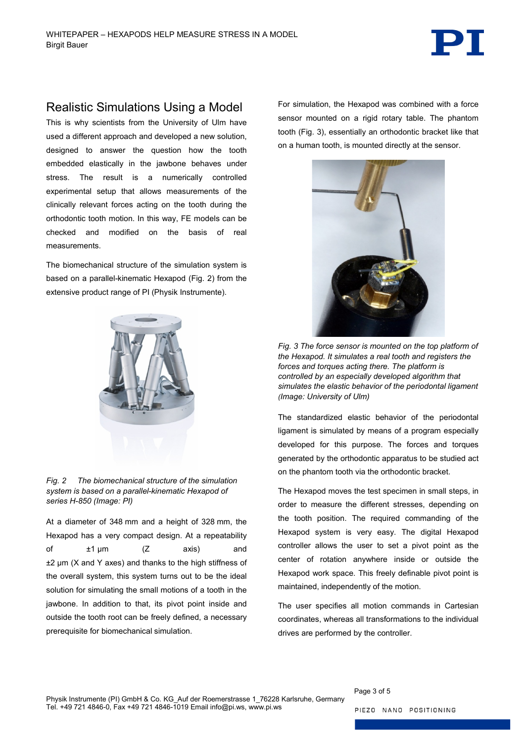

### Realistic Simulations Using a Model

This is why scientists from the University of Ulm have used a different approach and developed a new solution, designed to answer the question how the tooth embedded elastically in the jawbone behaves under stress. The result is a numerically controlled experimental setup that allows measurements of the clinically relevant forces acting on the tooth during the orthodontic tooth motion. In this way, FE models can be checked and modified on the basis of real measurements.

The biomechanical structure of the simulation system is based on a parallel-kinematic Hexapod [\(Fig. 2\)](#page-2-0) from the extensive product range of PI (Physik Instrumente).



*Fig. 2 The biomechanical structure of the simulation system is based on a parallel-kinematic Hexapod of series H-850 (Image: PI)*

<span id="page-2-0"></span>At a diameter of 348 mm and a height of 328 mm, the Hexapod has a very compact design. At a repeatability of ±1 µm (Z axis) and ±2 µm (X and Y axes) and thanks to the high stiffness of the overall system, this system turns out to be the ideal solution for simulating the small motions of a tooth in the jawbone. In addition to that, its pivot point inside and outside the tooth root can be freely defined, a necessary prerequisite for biomechanical simulation.

For simulation, the Hexapod was combined with a force sensor mounted on a rigid rotary table. The phantom tooth [\(Fig. 3\)](#page-2-1), essentially an orthodontic bracket like that on a human tooth, is mounted directly at the sensor.



*Fig. 3 The force sensor is mounted on the top platform of the Hexapod. It simulates a real tooth and registers the forces and torques acting there. The platform is controlled by an especially developed algorithm that simulates the elastic behavior of the periodontal ligament (Image: University of Ulm)*

<span id="page-2-1"></span>The standardized elastic behavior of the periodontal ligament is simulated by means of a program especially developed for this purpose. The forces and torques generated by the orthodontic apparatus to be studied act on the phantom tooth via the orthodontic bracket.

The Hexapod moves the test specimen in small steps, in order to measure the different stresses, depending on the tooth position. The required commanding of the Hexapod system is very easy. The digital Hexapod controller allows the user to set a pivot point as the center of rotation anywhere inside or outside the Hexapod work space. This freely definable pivot point is maintained, independently of the motion.

The user specifies all motion commands in Cartesian coordinates, whereas all transformations to the individual drives are performed by the controller.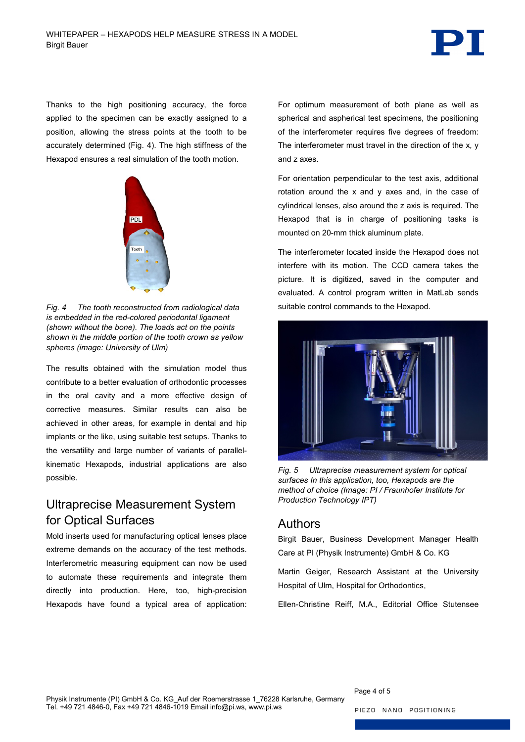

Thanks to the high positioning accuracy, the force applied to the specimen can be exactly assigned to a position, allowing the stress points at the tooth to be accurately determined [\(Fig. 4\)](#page-3-0). The high stiffness of the Hexapod ensures a real simulation of the tooth motion.



*Fig. 4 The tooth reconstructed from radiological data is embedded in the red-colored periodontal ligament (shown without the bone). The loads act on the points shown in the middle portion of the tooth crown as yellow spheres (image: University of Ulm)*

<span id="page-3-0"></span>The results obtained with the simulation model thus contribute to a better evaluation of orthodontic processes in the oral cavity and a more effective design of corrective measures. Similar results can also be achieved in other areas, for example in dental and hip implants or the like, using suitable test setups. Thanks to the versatility and large number of variants of parallelkinematic Hexapods, industrial applications are also possible.

## Ultraprecise Measurement System for Optical Surfaces

Mold inserts used for manufacturing optical lenses place extreme demands on the accuracy of the test methods. Interferometric measuring equipment can now be used to automate these requirements and integrate them directly into production. Here, too, high-precision Hexapods have found a typical area of application: For optimum measurement of both plane as well as spherical and aspherical test specimens, the positioning of the interferometer requires five degrees of freedom: The interferometer must travel in the direction of the x, y and z axes.

For orientation perpendicular to the test axis, additional rotation around the x and y axes and, in the case of cylindrical lenses, also around the z axis is required. The Hexapod that is in charge of positioning tasks is mounted on 20-mm thick aluminum plate.

The interferometer located inside the Hexapod does not interfere with its motion. The CCD camera takes the picture. It is digitized, saved in the computer and evaluated. A control program written in MatLab sends suitable control commands to the Hexapod.



*Fig. 5 Ultraprecise measurement system for optical surfaces In this application, too, Hexapods are the method of choice (Image: PI / Fraunhofer Institute for Production Technology IPT)*

#### Authors

Birgit Bauer, Business Development Manager Health Care at PI (Physik Instrumente) GmbH & Co. KG

Martin Geiger, Research Assistant at the University Hospital of Ulm, Hospital for Orthodontics,

Ellen-Christine Reiff, M.A., Editorial Office Stutensee